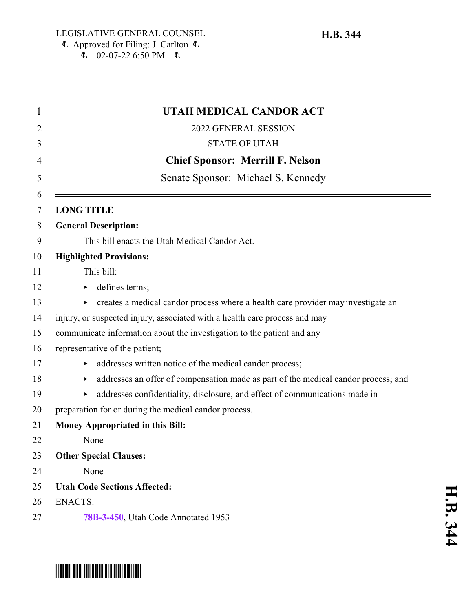$\stackrel{\text{11}}{6}$  02-07-22 6:50 PM  $\quad$ 

**H.B. 344**

| UTAH MEDICAL CANDOR ACT                                                                 |
|-----------------------------------------------------------------------------------------|
| 2022 GENERAL SESSION                                                                    |
| <b>STATE OF UTAH</b>                                                                    |
| <b>Chief Sponsor: Merrill F. Nelson</b>                                                 |
| Senate Sponsor: Michael S. Kennedy                                                      |
| <b>LONG TITLE</b>                                                                       |
| <b>General Description:</b>                                                             |
| This bill enacts the Utah Medical Candor Act.                                           |
| <b>Highlighted Provisions:</b>                                                          |
| This bill:                                                                              |
| defines terms;                                                                          |
| creates a medical candor process where a health care provider may investigate an<br>►   |
| injury, or suspected injury, associated with a health care process and may              |
| communicate information about the investigation to the patient and any                  |
| representative of the patient;                                                          |
| addresses written notice of the medical candor process;                                 |
| addresses an offer of compensation made as part of the medical candor process; and<br>▶ |
| addresses confidentiality, disclosure, and effect of communications made in<br>▶        |
| preparation for or during the medical candor process.                                   |
| <b>Money Appropriated in this Bill:</b>                                                 |
| None                                                                                    |
| <b>Other Special Clauses:</b>                                                           |
| None                                                                                    |
| <b>Utah Code Sections Affected:</b>                                                     |
| <b>ENACTS:</b>                                                                          |
| 78B-3-450, Utah Code Annotated 1953                                                     |

# **H.B.** <u>م</u>

# \*HB0344\*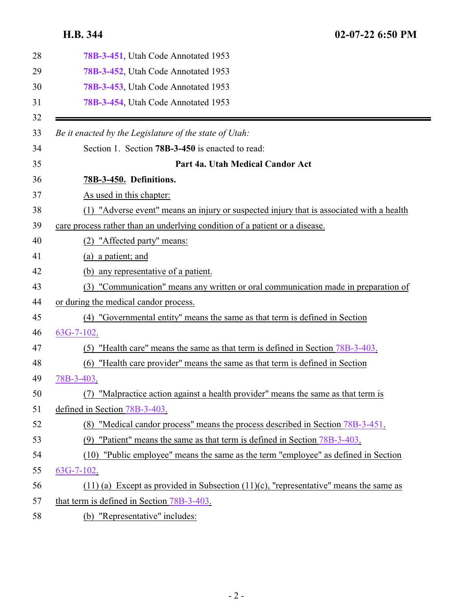<span id="page-1-0"></span>

| 28 | 78B-3-451, Utah Code Annotated 1953                                                        |
|----|--------------------------------------------------------------------------------------------|
| 29 | 78B-3-452, Utah Code Annotated 1953                                                        |
| 30 | 78B-3-453, Utah Code Annotated 1953                                                        |
| 31 | 78B-3-454, Utah Code Annotated 1953                                                        |
| 32 |                                                                                            |
| 33 | Be it enacted by the Legislature of the state of Utah:                                     |
| 34 | Section 1. Section 78B-3-450 is enacted to read:                                           |
| 35 | Part 4a. Utah Medical Candor Act                                                           |
| 36 | 78B-3-450. Definitions.                                                                    |
| 37 | As used in this chapter:                                                                   |
| 38 | (1) "Adverse event" means an injury or suspected injury that is associated with a health   |
| 39 | care process rather than an underlying condition of a patient or a disease.                |
| 40 | "Affected party" means:<br>(2)                                                             |
| 41 | (a) a patient; and                                                                         |
| 42 | (b) any representative of a patient.                                                       |
| 43 | "Communication" means any written or oral communication made in preparation of<br>(3)      |
| 44 | or during the medical candor process.                                                      |
| 45 | (4) "Governmental entity" means the same as that term is defined in Section                |
| 46 | $63G-7-102$ .                                                                              |
| 47 | "Health care" means the same as that term is defined in Section 78B-3-403.<br>(5)          |
| 48 | (6) "Health care provider" means the same as that term is defined in Section               |
| 49 | 78B-3-403.                                                                                 |
| 50 | (7) "Malpractice action against a health provider" means the same as that term is          |
| 51 | defined in Section 78B-3-403.                                                              |
| 52 | (8) "Medical candor process" means the process described in Section 78B-3-451.             |
| 53 | "Patient" means the same as that term is defined in Section 78B-3-403.<br>(9)              |
| 54 | "Public employee" means the same as the term "employee" as defined in Section<br>(10)      |
| 55 | $63G-7-102$ .                                                                              |
| 56 | $(11)$ (a) Except as provided in Subsection $(11)$ (c), "representative" means the same as |
| 57 | that term is defined in Section 78B-3-403.                                                 |
| 58 | (b) "Representative" includes:                                                             |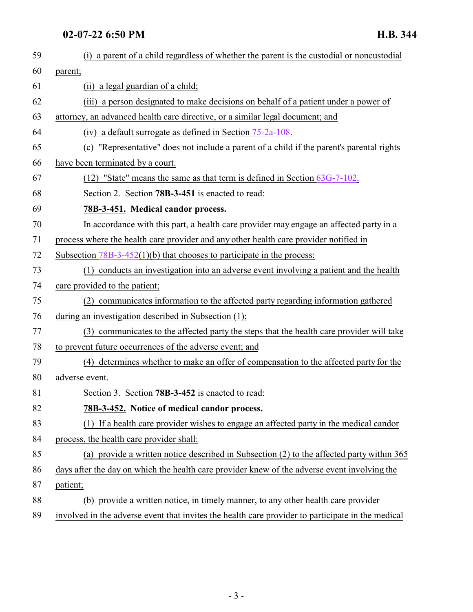### <span id="page-2-0"></span>**02-07-22 6:50 PM H.B. 344**

<span id="page-2-1"></span>

| 59 | (i) a parent of a child regardless of whether the parent is the custodial or noncustodial         |
|----|---------------------------------------------------------------------------------------------------|
| 60 | parent;                                                                                           |
| 61 | (ii) a legal guardian of a child;                                                                 |
| 62 | (iii) a person designated to make decisions on behalf of a patient under a power of               |
| 63 | attorney, an advanced health care directive, or a similar legal document; and                     |
| 64 | (iv) a default surrogate as defined in Section $75-2a-108$ .                                      |
| 65 | (c) "Representative" does not include a parent of a child if the parent's parental rights         |
| 66 | have been terminated by a court.                                                                  |
| 67 | $(12)$ "State" means the same as that term is defined in Section $63G-7-102$ .                    |
| 68 | Section 2. Section 78B-3-451 is enacted to read:                                                  |
| 69 | 78B-3-451. Medical candor process.                                                                |
| 70 | In accordance with this part, a health care provider may engage an affected party in a            |
| 71 | process where the health care provider and any other health care provider notified in             |
| 72 | Subsection $78B-3-452(1)(b)$ that chooses to participate in the process:                          |
| 73 | (1) conducts an investigation into an adverse event involving a patient and the health            |
| 74 | care provided to the patient;                                                                     |
| 75 | (2) communicates information to the affected party regarding information gathered                 |
| 76 | during an investigation described in Subsection (1);                                              |
| 77 | (3) communicates to the affected party the steps that the health care provider will take          |
| 78 | to prevent future occurrences of the adverse event; and                                           |
| 79 | (4) determines whether to make an offer of compensation to the affected party for the             |
| 80 | adverse event.                                                                                    |
| 81 | Section 3. Section 78B-3-452 is enacted to read:                                                  |
| 82 | 78B-3-452. Notice of medical candor process.                                                      |
| 83 | (1) If a health care provider wishes to engage an affected party in the medical candor            |
| 84 | process, the health care provider shall:                                                          |
| 85 | (a) provide a written notice described in Subsection (2) to the affected party within 365         |
| 86 | days after the day on which the health care provider knew of the adverse event involving the      |
| 87 | patient;                                                                                          |
| 88 | (b) provide a written notice, in timely manner, to any other health care provider                 |
| 89 | involved in the adverse event that invites the health care provider to participate in the medical |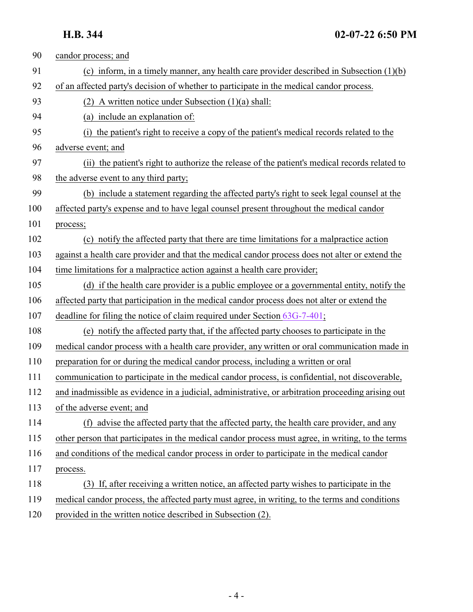| 90  | candor process; and                                                                               |
|-----|---------------------------------------------------------------------------------------------------|
| 91  | (c) inform, in a timely manner, any health care provider described in Subsection $(1)(b)$         |
| 92  | of an affected party's decision of whether to participate in the medical candor process.          |
| 93  | (2) A written notice under Subsection $(1)(a)$ shall:                                             |
| 94  | (a) include an explanation of:                                                                    |
| 95  | the patient's right to receive a copy of the patient's medical records related to the<br>(1)      |
| 96  | adverse event; and                                                                                |
| 97  | (ii) the patient's right to authorize the release of the patient's medical records related to     |
| 98  | the adverse event to any third party;                                                             |
| 99  | (b) include a statement regarding the affected party's right to seek legal counsel at the         |
| 100 | affected party's expense and to have legal counsel present throughout the medical candor          |
| 101 | process;                                                                                          |
| 102 | (c) notify the affected party that there are time limitations for a malpractice action            |
| 103 | against a health care provider and that the medical candor process does not alter or extend the   |
| 104 | time limitations for a malpractice action against a health care provider;                         |
| 105 | (d) if the health care provider is a public employee or a governmental entity, notify the         |
| 106 | affected party that participation in the medical candor process does not alter or extend the      |
| 107 | deadline for filing the notice of claim required under Section 63G-7-401;                         |
| 108 | (e) notify the affected party that, if the affected party chooses to participate in the           |
| 109 | medical candor process with a health care provider, any written or oral communication made in     |
| 110 | preparation for or during the medical candor process, including a written or oral                 |
| 111 | communication to participate in the medical candor process, is confidential, not discoverable,    |
| 112 | and inadmissible as evidence in a judicial, administrative, or arbitration proceeding arising out |
| 113 | of the adverse event; and                                                                         |
| 114 | (f) advise the affected party that the affected party, the health care provider, and any          |
| 115 | other person that participates in the medical candor process must agree, in writing, to the terms |
| 116 | and conditions of the medical candor process in order to participate in the medical candor        |
| 117 | process.                                                                                          |
| 118 | (3) If, after receiving a written notice, an affected party wishes to participate in the          |
| 119 | medical candor process, the affected party must agree, in writing, to the terms and conditions    |
| 120 | provided in the written notice described in Subsection (2).                                       |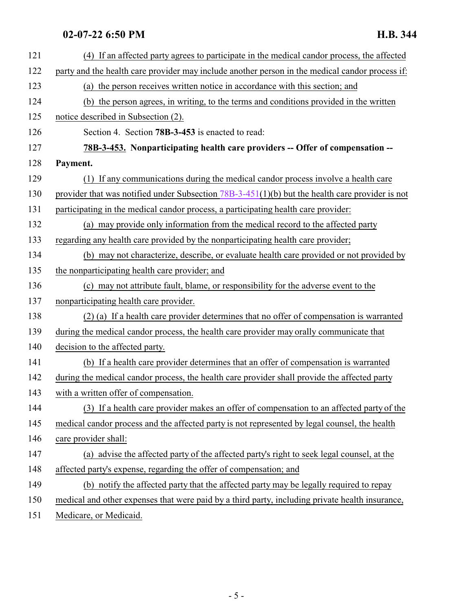## <span id="page-4-0"></span>**02-07-22 6:50 PM H.B. 344**

| 121 | (4) If an affected party agrees to participate in the medical candor process, the affected        |
|-----|---------------------------------------------------------------------------------------------------|
| 122 | party and the health care provider may include another person in the medical candor process if:   |
| 123 | (a) the person receives written notice in accordance with this section; and                       |
| 124 | (b) the person agrees, in writing, to the terms and conditions provided in the written            |
| 125 | notice described in Subsection (2).                                                               |
| 126 | Section 4. Section 78B-3-453 is enacted to read:                                                  |
| 127 | 78B-3-453. Nonparticipating health care providers -- Offer of compensation --                     |
| 128 | Payment.                                                                                          |
| 129 | (1) If any communications during the medical candor process involve a health care                 |
| 130 | provider that was notified under Subsection $78B-3-451(1)(b)$ but the health care provider is not |
| 131 | participating in the medical candor process, a participating health care provider:                |
| 132 | (a) may provide only information from the medical record to the affected party                    |
| 133 | regarding any health care provided by the nonparticipating health care provider;                  |
| 134 | (b) may not characterize, describe, or evaluate health care provided or not provided by           |
| 135 | the nonparticipating health care provider; and                                                    |
| 136 | (c) may not attribute fault, blame, or responsibility for the adverse event to the                |
| 137 | nonparticipating health care provider.                                                            |
| 138 | (2) (a) If a health care provider determines that no offer of compensation is warranted           |
| 139 | during the medical candor process, the health care provider may orally communicate that           |
| 140 | decision to the affected party.                                                                   |
| 141 | (b) If a health care provider determines that an offer of compensation is warranted               |
| 142 | during the medical candor process, the health care provider shall provide the affected party      |
| 143 | with a written offer of compensation.                                                             |
| 144 | (3) If a health care provider makes an offer of compensation to an affected party of the          |
| 145 | medical candor process and the affected party is not represented by legal counsel, the health     |
| 146 | care provider shall:                                                                              |
| 147 | (a) advise the affected party of the affected party's right to seek legal counsel, at the         |
| 148 | affected party's expense, regarding the offer of compensation; and                                |
| 149 | (b) notify the affected party that the affected party may be legally required to repay            |
| 150 | medical and other expenses that were paid by a third party, including private health insurance,   |
| 151 | Medicare, or Medicaid.                                                                            |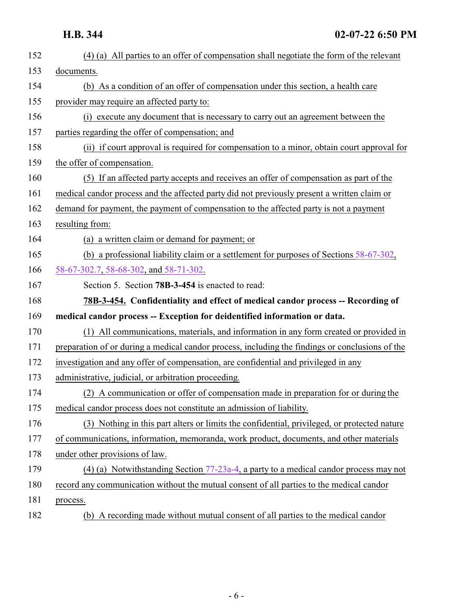<span id="page-5-0"></span>

| 152 | (4) (a) All parties to an offer of compensation shall negotiate the form of the relevant        |
|-----|-------------------------------------------------------------------------------------------------|
| 153 | documents.                                                                                      |
| 154 | (b) As a condition of an offer of compensation under this section, a health care                |
| 155 | provider may require an affected party to:                                                      |
| 156 | (i) execute any document that is necessary to carry out an agreement between the                |
| 157 | parties regarding the offer of compensation; and                                                |
| 158 | (ii) if court approval is required for compensation to a minor, obtain court approval for       |
| 159 | the offer of compensation.                                                                      |
| 160 | (5) If an affected party accepts and receives an offer of compensation as part of the           |
| 161 | medical candor process and the affected party did not previously present a written claim or     |
| 162 | demand for payment, the payment of compensation to the affected party is not a payment          |
| 163 | resulting from:                                                                                 |
| 164 | (a) a written claim or demand for payment; or                                                   |
| 165 | (b) a professional liability claim or a settlement for purposes of Sections $58-67-302$ ,       |
| 166 | 58-67-302.7, 58-68-302, and 58-71-302.                                                          |
| 167 | Section 5. Section 78B-3-454 is enacted to read:                                                |
| 168 | 78B-3-454. Confidentiality and effect of medical candor process -- Recording of                 |
| 169 | medical candor process -- Exception for deidentified information or data.                       |
| 170 | (1) All communications, materials, and information in any form created or provided in           |
| 171 | preparation of or during a medical candor process, including the findings or conclusions of the |
| 172 | investigation and any offer of compensation, are confidential and privileged in any             |
| 173 | administrative, judicial, or arbitration proceeding.                                            |
| 174 | (2) A communication or offer of compensation made in preparation for or during the              |
| 175 | medical candor process does not constitute an admission of liability.                           |
| 176 | (3) Nothing in this part alters or limits the confidential, privileged, or protected nature     |
| 177 | of communications, information, memoranda, work product, documents, and other materials         |
| 178 | under other provisions of law.                                                                  |
| 179 | (4) (a) Notwithstanding Section $77-23a-4$ , a party to a medical candor process may not        |
| 180 | record any communication without the mutual consent of all parties to the medical candor        |
| 181 | process.                                                                                        |
| 182 | (b) A recording made without mutual consent of all parties to the medical candor                |